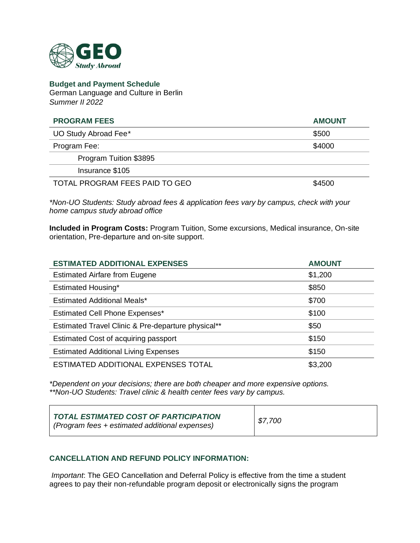

**Budget and Payment Schedule** German Language and Culture in Berlin *Summer II 2022*

| <b>PROGRAM FEES</b>            | <b>AMOUNT</b> |
|--------------------------------|---------------|
| UO Study Abroad Fee*           | \$500         |
| Program Fee:                   | \$4000        |
| Program Tuition \$3895         |               |
| Insurance \$105                |               |
| TOTAL PROGRAM FEES PAID TO GEO | \$4500        |

*\*Non-UO Students: Study abroad fees & application fees vary by campus, check with your home campus study abroad office*

**Included in Program Costs:** Program Tuition, Some excursions, Medical insurance, On-site orientation, Pre-departure and on-site support.

| <b>ESTIMATED ADDITIONAL EXPENSES</b>               | <b>AMOUNT</b> |
|----------------------------------------------------|---------------|
| <b>Estimated Airfare from Eugene</b>               | \$1,200       |
| Estimated Housing*                                 | \$850         |
| <b>Estimated Additional Meals*</b>                 | \$700         |
| <b>Estimated Cell Phone Expenses*</b>              | \$100         |
| Estimated Travel Clinic & Pre-departure physical** | \$50          |
| Estimated Cost of acquiring passport               | \$150         |
| <b>Estimated Additional Living Expenses</b>        | \$150         |
| ESTIMATED ADDITIONAL EXPENSES TOTAL                | \$3,200       |

*\*Dependent on your decisions; there are both cheaper and more expensive options. \*\*Non-UO Students: Travel clinic & health center fees vary by campus.*

| TOTAL ESTIMATED COST OF PARTICIPATION<br>(Program fees + estimated additional expenses) | \$7,700 |
|-----------------------------------------------------------------------------------------|---------|
|-----------------------------------------------------------------------------------------|---------|

## **CANCELLATION AND REFUND POLICY INFORMATION:**

*Important*: The GEO Cancellation and Deferral Policy is effective from the time a student agrees to pay their non-refundable program deposit or electronically signs the program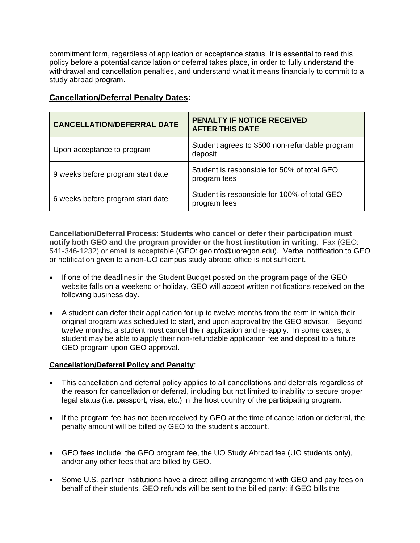commitment form, regardless of application or acceptance status. It is essential to read this policy before a potential cancellation or deferral takes place, in order to fully understand the withdrawal and cancellation penalties, and understand what it means financially to commit to a study abroad program.

| <b>Cancellation/Deferral Penalty Dates:</b> |  |
|---------------------------------------------|--|
|                                             |  |

| <b>CANCELLATION/DEFERRAL DATE</b> | PENALTY IF NOTICE RECEIVED<br><b>AFTER THIS DATE</b>         |
|-----------------------------------|--------------------------------------------------------------|
| Upon acceptance to program        | Student agrees to \$500 non-refundable program<br>deposit    |
| 9 weeks before program start date | Student is responsible for 50% of total GEO<br>program fees  |
| 6 weeks before program start date | Student is responsible for 100% of total GEO<br>program fees |

**Cancellation/Deferral Process: Students who cancel or defer their participation must notify both GEO and the program provider or the host institution in writing**. Fax (GEO: 541-346-1232) or email is acceptable (GEO: geoinfo@uoregon.edu). Verbal notification to GEO or notification given to a non-UO campus study abroad office is not sufficient.

- If one of the deadlines in the Student Budget posted on the program page of the GEO website falls on a weekend or holiday, GEO will accept written notifications received on the following business day.
- A student can defer their application for up to twelve months from the term in which their original program was scheduled to start, and upon approval by the GEO advisor. Beyond twelve months, a student must cancel their application and re-apply. In some cases, a student may be able to apply their non-refundable application fee and deposit to a future GEO program upon GEO approval.

## **Cancellation/Deferral Policy and Penalty**:

- This cancellation and deferral policy applies to all cancellations and deferrals regardless of the reason for cancellation or deferral, including but not limited to inability to secure proper legal status (i.e. passport, visa, etc.) in the host country of the participating program.
- If the program fee has not been received by GEO at the time of cancellation or deferral, the penalty amount will be billed by GEO to the student's account.
- GEO fees include: the GEO program fee, the UO Study Abroad fee (UO students only), and/or any other fees that are billed by GEO.
- Some U.S. partner institutions have a direct billing arrangement with GEO and pay fees on behalf of their students. GEO refunds will be sent to the billed party: if GEO bills the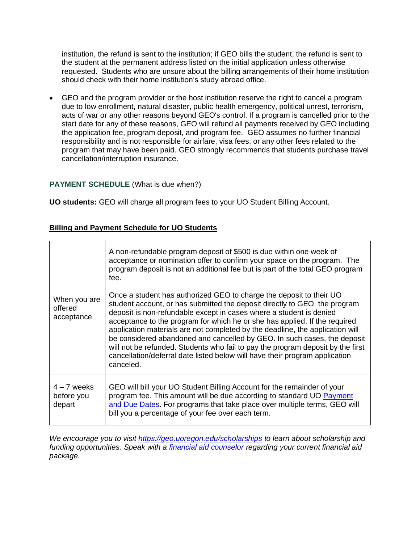institution, the refund is sent to the institution; if GEO bills the student, the refund is sent to the student at the permanent address listed on the initial application unless otherwise requested. Students who are unsure about the billing arrangements of their home institution should check with their home institution's study abroad office.

• GEO and the program provider or the host institution reserve the right to cancel a program due to low enrollment, natural disaster, public health emergency, political unrest, terrorism, acts of war or any other reasons beyond GEO's control. If a program is cancelled prior to the start date for any of these reasons, GEO will refund all payments received by GEO including the application fee, program deposit, and program fee. GEO assumes no further financial responsibility and is not responsible for airfare, visa fees, or any other fees related to the program that may have been paid. GEO strongly recommends that students purchase travel cancellation/interruption insurance.

## **PAYMENT SCHEDULE** (What is due when?)

**UO students:** GEO will charge all program fees to your UO Student Billing Account.

## **Billing and Payment Schedule for UO Students**

|                                       | A non-refundable program deposit of \$500 is due within one week of<br>acceptance or nomination offer to confirm your space on the program. The<br>program deposit is not an additional fee but is part of the total GEO program<br>fee.                                                                                                                                                                                                                                                                                                                                                                                                           |
|---------------------------------------|----------------------------------------------------------------------------------------------------------------------------------------------------------------------------------------------------------------------------------------------------------------------------------------------------------------------------------------------------------------------------------------------------------------------------------------------------------------------------------------------------------------------------------------------------------------------------------------------------------------------------------------------------|
| When you are<br>offered<br>acceptance | Once a student has authorized GEO to charge the deposit to their UO<br>student account, or has submitted the deposit directly to GEO, the program<br>deposit is non-refundable except in cases where a student is denied<br>acceptance to the program for which he or she has applied. If the required<br>application materials are not completed by the deadline, the application will<br>be considered abandoned and cancelled by GEO. In such cases, the deposit<br>will not be refunded. Students who fail to pay the program deposit by the first<br>cancellation/deferral date listed below will have their program application<br>canceled. |
| $4 - 7$ weeks<br>before you<br>depart | GEO will bill your UO Student Billing Account for the remainder of your<br>program fee. This amount will be due according to standard UO Payment<br>and Due Dates. For programs that take place over multiple terms, GEO will<br>bill you a percentage of your fee over each term.                                                                                                                                                                                                                                                                                                                                                                 |

*We encourage you to visit <https://geo.uoregon.edu/scholarships> to learn about scholarship and funding opportunities. Speak with a [financial aid counselor](https://financialaid.uoregon.edu/study-abroad) regarding your current financial aid package.*